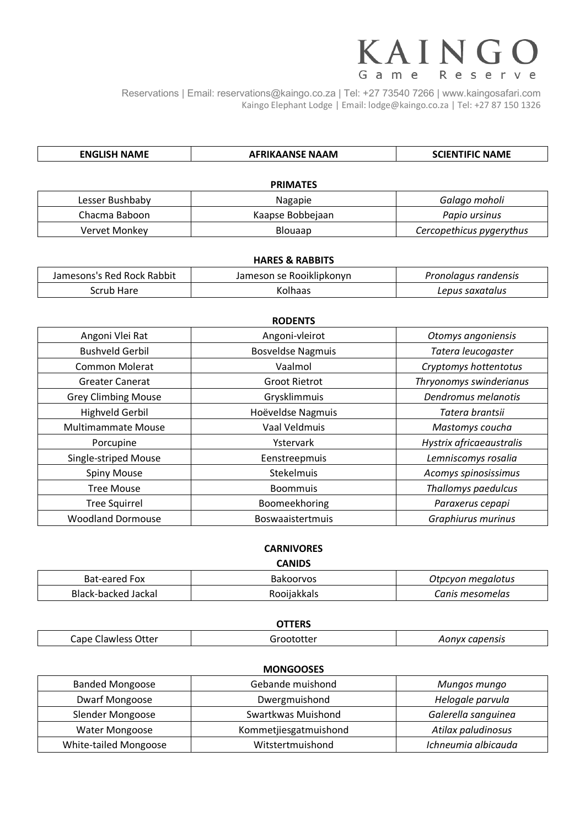# KAINGO Game Reserve

Reservations | Email: reservations@kaingo.co.za | Tel: +27 73540 7266 | www.kaingosafari.com Kaingo Elephant Lodge | Email: lodge@kaingo.co.za | Tel: +27 87 150 1326

| <b>ENGLISH NAME</b> | <b>AFRIKAANSE NAAM</b> | <b>SCIENTIFIC NAME</b>   |
|---------------------|------------------------|--------------------------|
|                     |                        |                          |
|                     | <b>PRIMATES</b>        |                          |
| Lesser Bushbaby     | Nagapie                | Galago moholi            |
| Chacma Baboon       | Kaapse Bobbejaan       | Papio ursinus            |
| Vervet Monkey       | Blouaap                | Cercopethicus pygerythus |

| <b>HARES &amp; RABBITS</b> |                          |                      |
|----------------------------|--------------------------|----------------------|
| Jamesons's Red Rock Rabbit | Jameson se Rooiklipkonyn | Pronolagus randensis |
| Scrub Hare                 | Kolhaas                  | Lepus saxatalus      |

| <b>RODENTS</b>             |                          |                          |
|----------------------------|--------------------------|--------------------------|
| Angoni Vlei Rat            | Angoni-vleirot           | Otomys angoniensis       |
| <b>Bushveld Gerbil</b>     | <b>Bosveldse Nagmuis</b> | Tatera leucogaster       |
| <b>Common Molerat</b>      | Vaalmol                  | Cryptomys hottentotus    |
| <b>Greater Canerat</b>     | <b>Groot Rietrot</b>     | Thryonomys swinderianus  |
| <b>Grey Climbing Mouse</b> | Grysklimmuis             | Dendromus melanotis      |
| <b>Highveld Gerbil</b>     | Hoëveldse Nagmuis        | Tatera brantsii          |
| <b>Multimammate Mouse</b>  | Vaal Veldmuis            | Mastomys coucha          |
| Porcupine                  | Ystervark                | Hystrix africaeaustralis |
| Single-striped Mouse       | Eenstreepmuis            | Lemniscomys rosalia      |
| Spiny Mouse                | Stekelmuis               | Acomys spinosissimus     |
| <b>Tree Mouse</b>          | <b>Boommuis</b>          | Thallomys paedulcus      |
| <b>Tree Squirrel</b>       | Boomeekhoring            | Paraxerus cepapi         |
| <b>Woodland Dormouse</b>   | <b>Boswaaistertmuis</b>  | Graphiurus murinus       |

### **CARNIVORES**

**CANIDS**

| Bat-eared<br>Fox       | Bakoorvos | Otpcvor<br>megalotus |
|------------------------|-----------|----------------------|
| Black-backed<br>Jackal | dKKdIS    | mesomelas<br>_anıs   |

| <b>DTTERS</b>       |            |                |
|---------------------|------------|----------------|
| Cape Clawless Otter | Groototter | Aonyx capensis |

| <b>MONGOOSES</b>       |                       |                     |
|------------------------|-----------------------|---------------------|
| <b>Banded Mongoose</b> | Gebande muishond      | Mungos mungo        |
| Dwarf Mongoose         | Dwergmuishond         | Helogale parvula    |
| Slender Mongoose       | Swartkwas Muishond    | Galerella sanguinea |
| Water Mongoose         | Kommetjiesgatmuishond | Atilax paludinosus  |
| White-tailed Mongoose  | Witstertmuishond      | Ichneumia albicauda |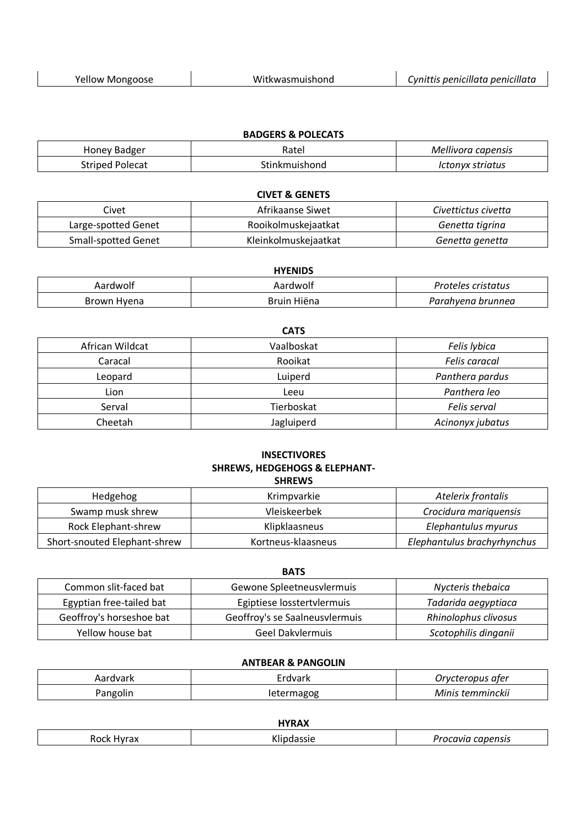| <b>BADGERS &amp; POLECATS</b> |               |                    |
|-------------------------------|---------------|--------------------|
| Honey Badger                  | Ratel         | Mellivora capensis |
| <b>Striped Polecat</b>        | Stinkmuishond | Ictonyx striatus   |

| <b>CIVET &amp; GENETS</b>  |                      |                     |
|----------------------------|----------------------|---------------------|
| Civet                      | Afrikaanse Siwet     | Civettictus civetta |
| Large-spotted Genet        | Rooikolmuskejaatkat  | Genetta tigrina     |
| <b>Small-spotted Genet</b> | Kleinkolmuskejaatkat | Genetta genetta     |

| <b>HYENIDS</b> |             |                    |
|----------------|-------------|--------------------|
| Aardwolf       | Aardwolf    | Proteles cristatus |
| Brown Hyena    | Bruin Hiëna | Parahyena brunnea  |

| <b>CATS</b>     |            |                  |
|-----------------|------------|------------------|
| African Wildcat | Vaalboskat | Felis lybica     |
| Caracal         | Rooikat    | Felis caracal    |
| Leopard         | Luiperd    | Panthera pardus  |
| Lion            | Leeu       | Panthera leo     |
| Serval          | Tierboskat | Felis serval     |
| Cheetah         | Jagluiperd | Acinonyx jubatus |

### **INSECTIVORES SHREWS, HEDGEHOGS & ELEPHANT-SHREWS**

| Hedgehog                     | Krimpvarkie        | Atelerix frontalis          |
|------------------------------|--------------------|-----------------------------|
| Swamp musk shrew             | Vleiskeerbek       | Crocidura mariquensis       |
| Rock Elephant-shrew          | Klipklaasneus      | Elephantulus myurus         |
| Short-snouted Elephant-shrew | Kortneus-klaasneus | Elephantulus brachyrhynchus |

| <b>BATS</b>              |                                |                      |
|--------------------------|--------------------------------|----------------------|
| Common slit-faced bat    | Gewone Spleetneusvlermuis      | Nycteris thebaica    |
| Egyptian free-tailed bat | Egiptiese losstertvlermuis     | Tadarida aegyptiaca  |
| Geoffroy's horseshoe bat | Geoffroy's se Saalneusvlermuis | Rhinolophus clivosus |
| Yellow house bat         | Geel Dakylermuis               | Scotophilis dinganii |

### **ANTBEAR & PANGOLIN**

| امر ہے . امر<br>ιναι κ<br>наі | rdvark      | Orvcteropus ater<br><i>ILVL</i> |
|-------------------------------|-------------|---------------------------------|
| Pango                         | magng<br>۱Α | temminckii<br>Minis.            |

| UVDAV                       |                       |                                                            |  |
|-----------------------------|-----------------------|------------------------------------------------------------|--|
| Rock<br><b>Livesy</b><br>a۸ | $\cdots$<br>ssit<br>. | $\overline{\phantom{a}}$<br>ncavir<br>capensis<br>, ocuvia |  |

## **CATS**